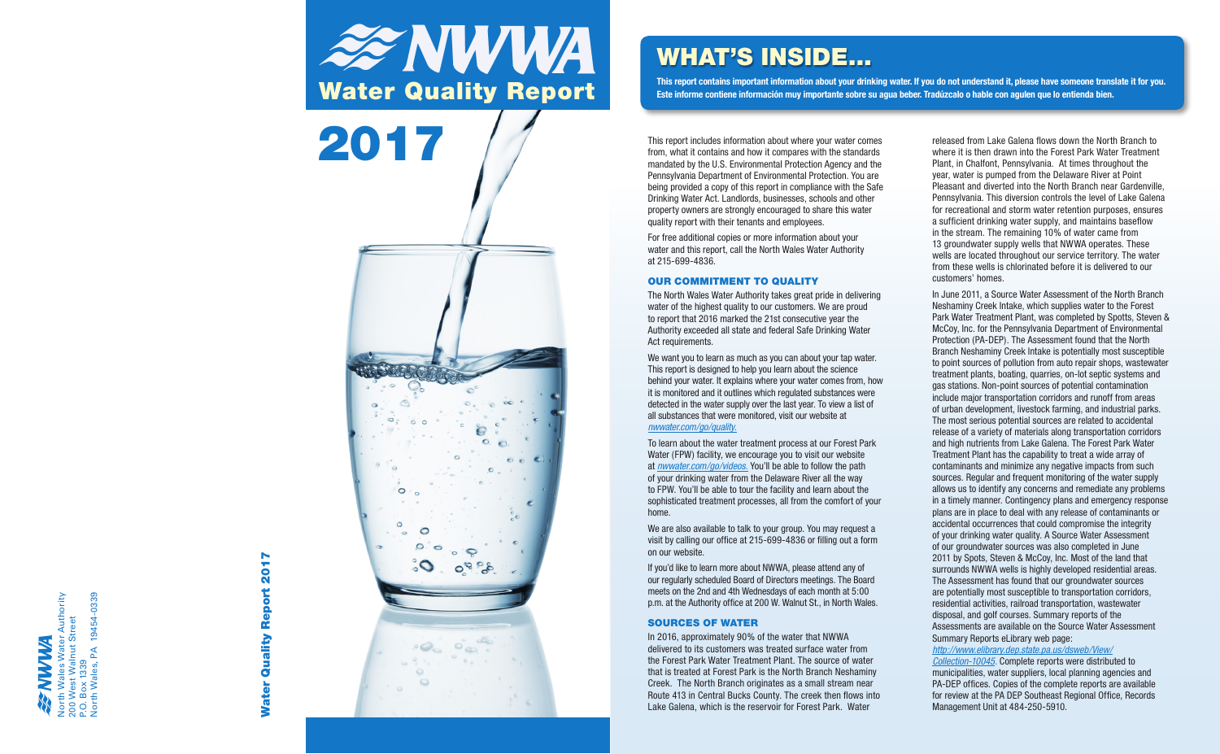## rth Wales Water Authority<br>) West Walnut Street<br>. Box 1339<br>rth Wales, PA 19454-0339 North Wales Water Authority North Wales, PA 19454-0339 200 West Walnut Street P.O. Box 1339

# **2017** Water Quality Report 2017 Report Quality **Water**



The North Wales Water Authority takes great pride in delivering water of the highest quality to our customers. We are proud to report that 2016 marked the 21st consecutive year the Authority exceeded all state and federal Safe Drinking Water Act requirements.

from, what it contains and how it compares with the standards mandated by the U.S. Environmental Protection Agency and the Pennsylvania Department of Environmental Protection. You are being provided a copy of this report in compliance with the Safe Drinking Water Act. Landlords, businesses, schools and other property owners are strongly encouraged to share this water quality report with their tenants and employees.

For free additional copies or more information about your water and this report, call the North Wales Water Authority at 215-699-4836.

#### OUR COMMITMENT TO QUALITY

We want you to learn as much as you can about your tap water. This report is designed to help you learn about the science behind your water. It explains where your water comes from, how it is monitored and it outlines which regulated substances were detected in the water supply over the last year. To view a list of all substances that were monitored, visit our website at *nwwater.com/go/quality.*

To learn about the water treatment process at our Forest Park Water (FPW) facility, we encourage you to visit our website at *nwwater.com/go/videos.* You'll be able to follow the path of your drinking water from the Delaware River all the way to FPW. You'll be able to tour the facility and learn about the sophisticated treatment processes, all from the comfort of your home.

We are also available to talk to your group. You may request a visit by calling our office at 215-699-4836 or filling out a form on our website.

If you'd like to learn more about NWWA, please attend any of our regularly scheduled Board of Directors meetings. The Board meets on the 2nd and 4th Wednesdays of each month at 5:00 p.m. at the Authority office at 200 W. Walnut St., in North Wales.

#### SOURCES OF WATER

In 2016, approximately 90% of the water that NWWA delivered to its customers was treated surface water from the Forest Park Water Treatment Plant. The source of water that is treated at Forest Park is the North Branch Neshaminy Creek. The North Branch originates as a small stream near Route 413 in Central Bucks County. The creek then flows into Lake Galena, which is the reservoir for Forest Park. Water

released from Lake Galena flows down the North Branch to where it is then drawn into the Forest Park Water Treatment Plant, in Chalfont, Pennsylvania. At times throughout the year, water is pumped from the Delaware River at Point Pleasant and diverted into the North Branch near Gardenville, Pennsylvania. This diversion controls the level of Lake Galena for recreational and storm water retention purposes, ensures a sufficient drinking water supply, and maintains baseflow in the stream. The remaining 10% of water came from 13 groundwater supply wells that NWWA operates. These wells are located throughout our service territory. The water from these wells is chlorinated before it is delivered to our customers' homes.

In June 2011, a Source Water Assessment of the North Branch Neshaminy Creek Intake, which supplies water to the Forest Park Water Treatment Plant, was completed by Spotts, Steven & McCoy, Inc. for the Pennsylvania Department of Environmental Protection (PA-DEP). The Assessment found that the North Branch Neshaminy Creek Intake is potentially most susceptible to point sources of pollution from auto repair shops, wastewater treatment plants, boating, quarries, on-lot septic systems and gas stations. Non-point sources of potential contamination include major transportation corridors and runoff from areas of urban development, livestock farming, and industrial parks. The most serious potential sources are related to accidental release of a variety of materials along transportation corridors and high nutrients from Lake Galena. The Forest Park Water Treatment Plant has the capability to treat a wide array of contaminants and minimize any negative impacts from such sources. Regular and frequent monitoring of the water supply allows us to identify any concerns and remediate any problems in a timely manner. Contingency plans and emergency response plans are in place to deal with any release of contaminants or accidental occurrences that could compromise the integrity of your drinking water quality. A Source Water Assessment of our groundwater sources was also completed in June 2011 by Spots, Steven & McCoy, Inc. Most of the land that surrounds NWWA wells is highly developed residential areas. The Assessment has found that our groundwater sources are potentially most susceptible to transportation corridors, residential activities, railroad transportation, wastewater disposal, and golf courses. Summary reports of the Assessments are available on the Source Water Assessment Summary Reports eLibrary web page:

*http://www.elibrary.dep.state.pa.us/dsweb/View/*

*Collection-10045.* Complete reports were distributed to municipalities, water suppliers, local planning agencies and PA-DEP offices. Copies of the complete reports are available for review at the PA DEP Southeast Regional Office, Records Management Unit at 484-250-5910.

## WHAT'S INSIDE...

**This report contains important information about your drinking water. If you do not understand it, please have someone translate it for you. Este informe contiene información muy importante sobre su agua beber. Tradúzcalo o hable con agulen que lo entienda bien.**